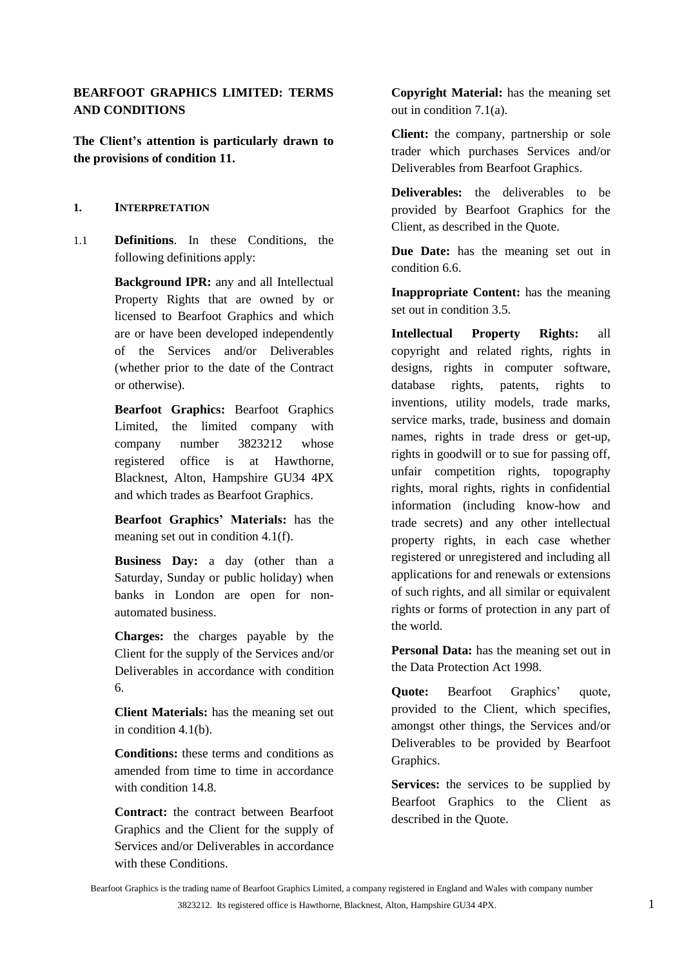# **BEARFOOT GRAPHICS LIMITED: TERMS AND CONDITIONS**

**The Client's attention is particularly drawn to the provisions of condition [11.](#page-10-0)**

### **1. INTERPRETATION**

1.1 **Definitions**. In these Conditions, the following definitions apply:

> **Background IPR:** any and all Intellectual Property Rights that are owned by or licensed to Bearfoot Graphics and which are or have been developed independently of the Services and/or Deliverables (whether prior to the date of the Contract or otherwise).

> **Bearfoot Graphics:** Bearfoot Graphics Limited, the limited company with company number 3823212 whose registered office is at Hawthorne, Blacknest, Alton, Hampshire GU34 4PX and which trades as Bearfoot Graphics.

**Bearfoot Graphics' Materials:** has the meaning set out in condition [4.1\(f\).](#page-4-0)

**Business Day:** a day (other than a Saturday, Sunday or public holiday) when banks in London are open for nonautomated business.

**Charges:** the charges payable by the Client for the supply of the Services and/or Deliverables in accordance with condition [6.](#page-5-0)

**Client Materials:** has the meaning set out in condition [4.1\(b\).](#page-3-0)

**Conditions:** these terms and conditions as amended from time to time in accordance with condition [14.8.](#page-15-0)

**Contract:** the contract between Bearfoot Graphics and the Client for the supply of Services and/or Deliverables in accordance with these Conditions.

**Copyright Material:** has the meaning set out in condition [7.1\(a\).](#page-7-0)

**Client:** the company, partnership or sole trader which purchases Services and/or Deliverables from Bearfoot Graphics.

**Deliverables:** the deliverables to be provided by Bearfoot Graphics for the Client, as described in the Quote.

**Due Date:** has the meaning set out in condition [6.6.](#page-6-0)

**Inappropriate Content:** has the meaning set out in condition [3.5.](#page-2-0)

**Intellectual Property Rights:** all copyright and related rights, rights in designs, rights in computer software, database rights, patents, rights to inventions, utility models, trade marks, service marks, trade, business and domain names, rights in trade dress or get-up, rights in goodwill or to sue for passing off, unfair competition rights, topography rights, moral rights, rights in confidential information (including know-how and trade secrets) and any other intellectual property rights, in each case whether registered or unregistered and including all applications for and renewals or extensions of such rights, and all similar or equivalent rights or forms of protection in any part of the world.

**Personal Data:** has the meaning set out in the Data Protection Act 1998.

**Quote:** Bearfoot Graphics' quote, provided to the Client, which specifies, amongst other things, the Services and/or Deliverables to be provided by Bearfoot Graphics.

**Services:** the services to be supplied by Bearfoot Graphics to the Client as described in the Quote.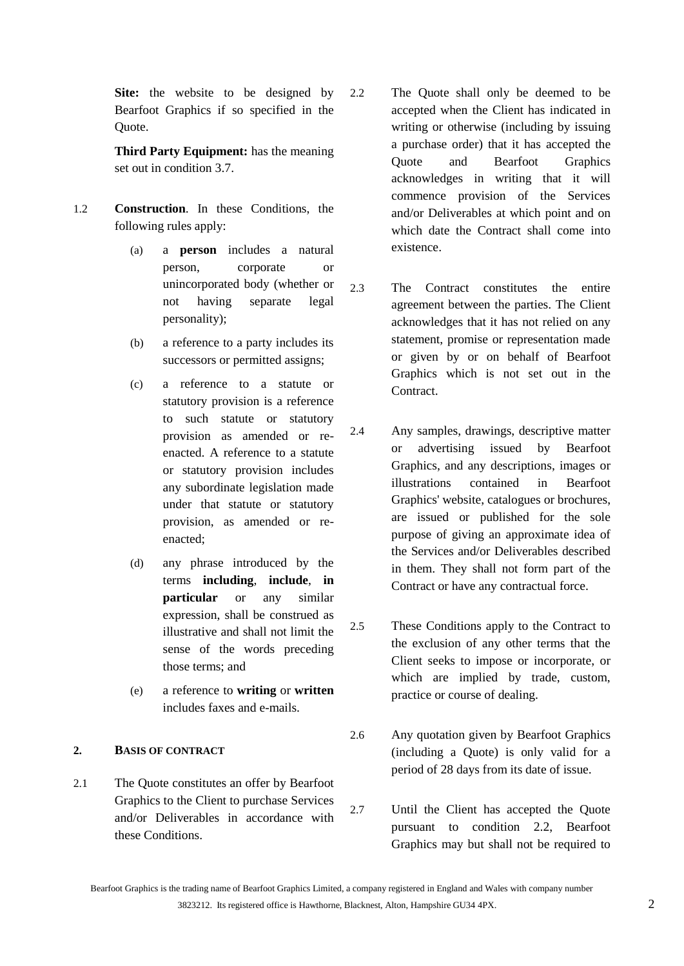**Site:** the website to be designed by Bearfoot Graphics if so specified in the Quote.

**Third Party Equipment:** has the meaning set out in condition [3.7.](#page-2-1)

- 1.2 **Construction**. In these Conditions, the following rules apply:
	- (a) a **person** includes a natural person, corporate or unincorporated body (whether or not having separate legal personality);
	- (b) a reference to a party includes its successors or permitted assigns;
	- (c) a reference to a statute or statutory provision is a reference to such statute or statutory provision as amended or reenacted. A reference to a statute or statutory provision includes any subordinate legislation made under that statute or statutory provision, as amended or reenacted;
	- (d) any phrase introduced by the terms **including**, **include**, **in particular** or any similar expression, shall be construed as illustrative and shall not limit the sense of the words preceding those terms; and
	- (e) a reference to **writing** or **written** includes faxes and e-mails.

# **2. BASIS OF CONTRACT**

2.1 The Quote constitutes an offer by Bearfoot Graphics to the Client to purchase Services and/or Deliverables in accordance with these Conditions.

- <span id="page-1-0"></span>2.2 The Quote shall only be deemed to be accepted when the Client has indicated in writing or otherwise (including by issuing a purchase order) that it has accepted the Quote and Bearfoot Graphics acknowledges in writing that it will commence provision of the Services and/or Deliverables at which point and on which date the Contract shall come into existence.
- 2.3 The Contract constitutes the entire agreement between the parties. The Client acknowledges that it has not relied on any statement, promise or representation made or given by or on behalf of Bearfoot Graphics which is not set out in the **Contract**
- 2.4 Any samples, drawings, descriptive matter or advertising issued by Bearfoot Graphics, and any descriptions, images or illustrations contained in Bearfoot Graphics' website, catalogues or brochures, are issued or published for the sole purpose of giving an approximate idea of the Services and/or Deliverables described in them. They shall not form part of the Contract or have any contractual force.
- 2.5 These Conditions apply to the Contract to the exclusion of any other terms that the Client seeks to impose or incorporate, or which are implied by trade, custom, practice or course of dealing.
- 2.6 Any quotation given by Bearfoot Graphics (including a Quote) is only valid for a period of 28 days from its date of issue.
- 2.7 Until the Client has accepted the Quote pursuant to condition [2.2,](#page-1-0) Bearfoot Graphics may but shall not be required to

Bearfoot Graphics is the trading name of Bearfoot Graphics Limited, a company registered in England and Wales with company number 3823212. Its registered office is Hawthorne, Blacknest, Alton, Hampshire GU34 4PX. 2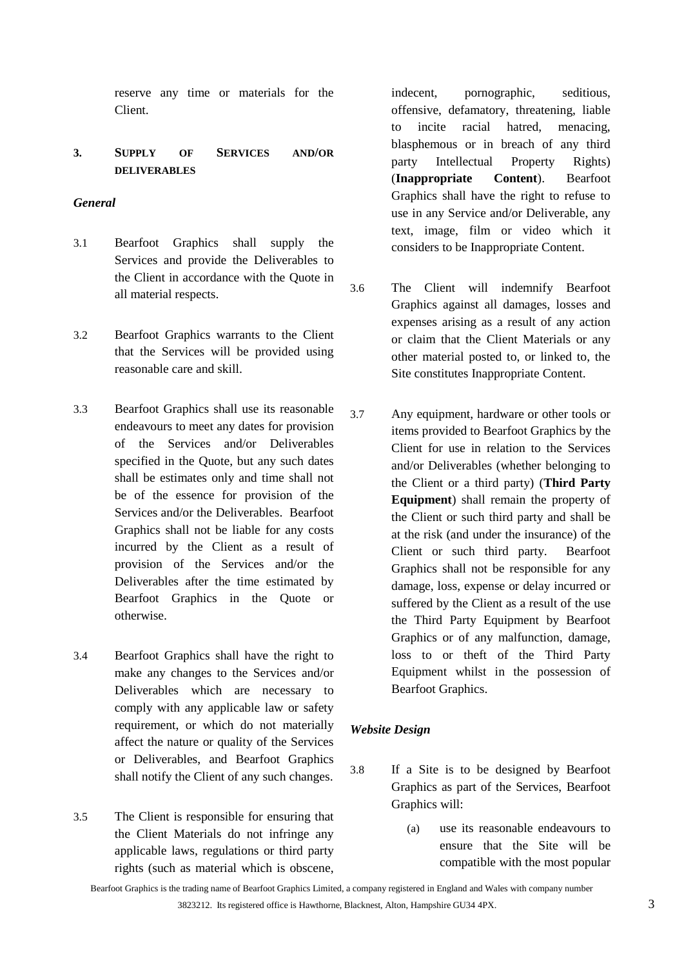reserve any time or materials for the Client.

# **3. SUPPLY OF SERVICES AND/OR DELIVERABLES**

# *General*

- 3.1 Bearfoot Graphics shall supply the Services and provide the Deliverables to the Client in accordance with the Quote in all material respects.
- 3.2 Bearfoot Graphics warrants to the Client that the Services will be provided using reasonable care and skill.
- 3.3 Bearfoot Graphics shall use its reasonable endeavours to meet any dates for provision of the Services and/or Deliverables specified in the Quote, but any such dates shall be estimates only and time shall not be of the essence for provision of the Services and/or the Deliverables. Bearfoot Graphics shall not be liable for any costs incurred by the Client as a result of provision of the Services and/or the Deliverables after the time estimated by Bearfoot Graphics in the Quote or otherwise.
- 3.4 Bearfoot Graphics shall have the right to make any changes to the Services and/or Deliverables which are necessary to comply with any applicable law or safety requirement, or which do not materially affect the nature or quality of the Services or Deliverables, and Bearfoot Graphics shall notify the Client of any such changes.
- <span id="page-2-0"></span>3.5 The Client is responsible for ensuring that the Client Materials do not infringe any applicable laws, regulations or third party rights (such as material which is obscene,

indecent, pornographic, seditious, offensive, defamatory, threatening, liable to incite racial hatred, menacing, blasphemous or in breach of any third party Intellectual Property Rights) (**Inappropriate Content**). Bearfoot Graphics shall have the right to refuse to use in any Service and/or Deliverable, any text, image, film or video which it considers to be Inappropriate Content.

- 3.6 The Client will indemnify Bearfoot Graphics against all damages, losses and expenses arising as a result of any action or claim that the Client Materials or any other material posted to, or linked to, the Site constitutes Inappropriate Content.
- <span id="page-2-1"></span>3.7 Any equipment, hardware or other tools or items provided to Bearfoot Graphics by the Client for use in relation to the Services and/or Deliverables (whether belonging to the Client or a third party) (**Third Party Equipment**) shall remain the property of the Client or such third party and shall be at the risk (and under the insurance) of the Client or such third party. Bearfoot Graphics shall not be responsible for any damage, loss, expense or delay incurred or suffered by the Client as a result of the use the Third Party Equipment by Bearfoot Graphics or of any malfunction, damage, loss to or theft of the Third Party Equipment whilst in the possession of Bearfoot Graphics.

# *Website Design*

- <span id="page-2-2"></span>3.8 If a Site is to be designed by Bearfoot Graphics as part of the Services, Bearfoot Graphics will:
	- (a) use its reasonable endeavours to ensure that the Site will be compatible with the most popular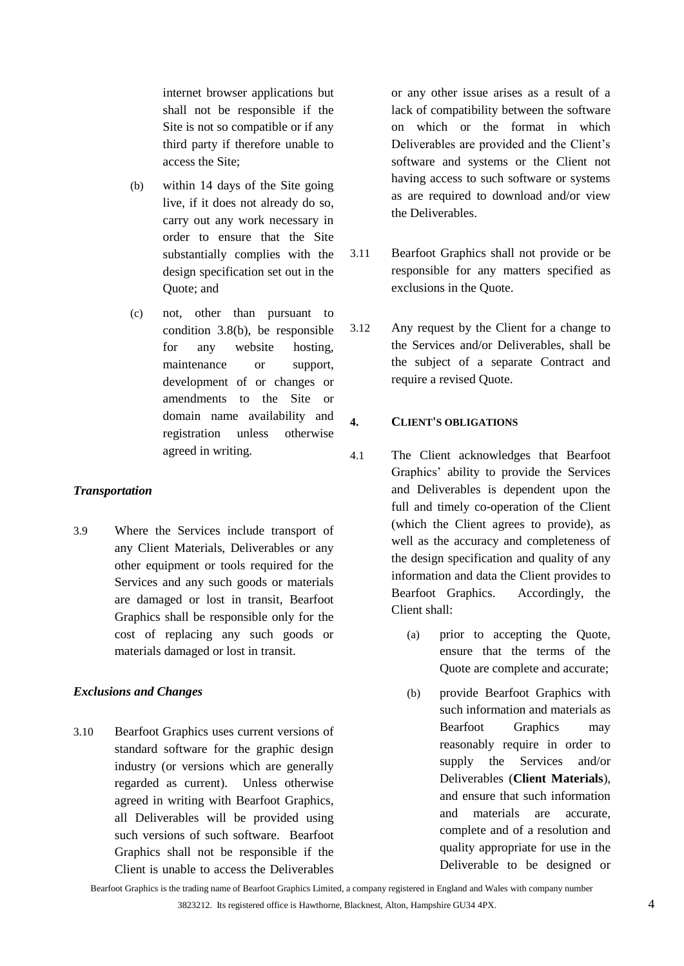internet browser applications but shall not be responsible if the Site is not so compatible or if any third party if therefore unable to access the Site;

- (b) within 14 days of the Site going live, if it does not already do so, carry out any work necessary in order to ensure that the Site substantially complies with the design specification set out in the Quote; and
- (c) not, other than pursuant to condition [3.8\(b\),](#page-2-2) be responsible for any website hosting, maintenance or support, development of or changes or amendments to the Site or domain name availability and registration unless otherwise agreed in writing.

#### *Transportation*

3.9 Where the Services include transport of any Client Materials, Deliverables or any other equipment or tools required for the Services and any such goods or materials are damaged or lost in transit, Bearfoot Graphics shall be responsible only for the cost of replacing any such goods or materials damaged or lost in transit.

# *Exclusions and Changes*

3.10 Bearfoot Graphics uses current versions of standard software for the graphic design industry (or versions which are generally regarded as current). Unless otherwise agreed in writing with Bearfoot Graphics, all Deliverables will be provided using such versions of such software. Bearfoot Graphics shall not be responsible if the Client is unable to access the Deliverables

or any other issue arises as a result of a lack of compatibility between the software on which or the format in which Deliverables are provided and the Client's software and systems or the Client not having access to such software or systems as are required to download and/or view the Deliverables.

- 3.11 Bearfoot Graphics shall not provide or be responsible for any matters specified as exclusions in the Quote.
- <span id="page-3-1"></span>3.12 Any request by the Client for a change to the Services and/or Deliverables, shall be the subject of a separate Contract and require a revised Quote.

# **4. CLIENT'S OBLIGATIONS**

- <span id="page-3-0"></span>4.1 The Client acknowledges that Bearfoot Graphics' ability to provide the Services and Deliverables is dependent upon the full and timely co-operation of the Client (which the Client agrees to provide), as well as the accuracy and completeness of the design specification and quality of any information and data the Client provides to Bearfoot Graphics. Accordingly, the Client shall:
	- (a) prior to accepting the Quote, ensure that the terms of the Quote are complete and accurate;
	- (b) provide Bearfoot Graphics with such information and materials as Bearfoot Graphics may reasonably require in order to supply the Services and/or Deliverables (**Client Materials**), and ensure that such information and materials are accurate, complete and of a resolution and quality appropriate for use in the Deliverable to be designed or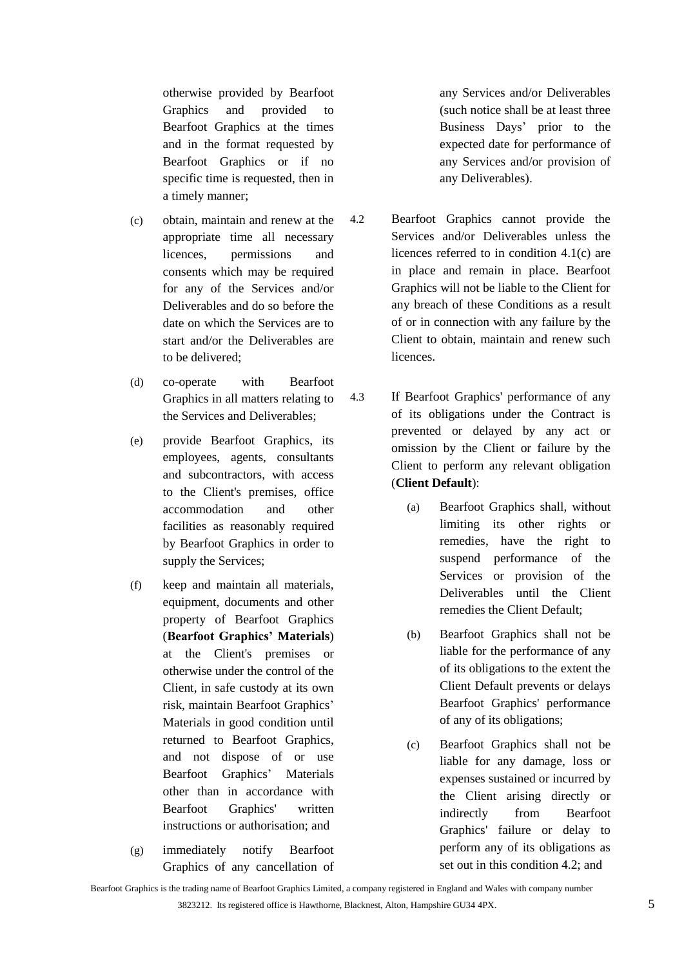otherwise provided by Bearfoot Graphics and provided to Bearfoot Graphics at the times and in the format requested by Bearfoot Graphics or if no specific time is requested, then in a timely manner;

- <span id="page-4-1"></span>(c) obtain, maintain and renew at the appropriate time all necessary licences, permissions and consents which may be required for any of the Services and/or Deliverables and do so before the date on which the Services are to start and/or the Deliverables are to be delivered;
- (d) co-operate with Bearfoot Graphics in all matters relating to the Services and Deliverables;
- (e) provide Bearfoot Graphics, its employees, agents, consultants and subcontractors, with access to the Client's premises, office accommodation and other facilities as reasonably required by Bearfoot Graphics in order to supply the Services;
- <span id="page-4-0"></span>(f) keep and maintain all materials, equipment, documents and other property of Bearfoot Graphics (**Bearfoot Graphics' Materials**) at the Client's premises or otherwise under the control of the Client, in safe custody at its own risk, maintain Bearfoot Graphics' Materials in good condition until returned to Bearfoot Graphics, and not dispose of or use Bearfoot Graphics' Materials other than in accordance with Bearfoot Graphics' written instructions or authorisation; and
- (g) immediately notify Bearfoot Graphics of any cancellation of

any Services and/or Deliverables (such notice shall be at least three Business Days' prior to the expected date for performance of any Services and/or provision of any Deliverables).

- <span id="page-4-2"></span>4.2 Bearfoot Graphics cannot provide the Services and/or Deliverables unless the licences referred to in condition [4.1\(c\)](#page-4-1) are in place and remain in place. Bearfoot Graphics will not be liable to the Client for any breach of these Conditions as a result of or in connection with any failure by the Client to obtain, maintain and renew such licences.
- 4.3 If Bearfoot Graphics' performance of any of its obligations under the Contract is prevented or delayed by any act or omission by the Client or failure by the Client to perform any relevant obligation (**Client Default**):
	- (a) Bearfoot Graphics shall, without limiting its other rights or remedies, have the right to suspend performance of the Services or provision of the Deliverables until the Client remedies the Client Default;
	- (b) Bearfoot Graphics shall not be liable for the performance of any of its obligations to the extent the Client Default prevents or delays Bearfoot Graphics' performance of any of its obligations;
	- (c) Bearfoot Graphics shall not be liable for any damage, loss or expenses sustained or incurred by the Client arising directly or indirectly from Bearfoot Graphics' failure or delay to perform any of its obligations as set out in this condition [4.2;](#page-4-2) and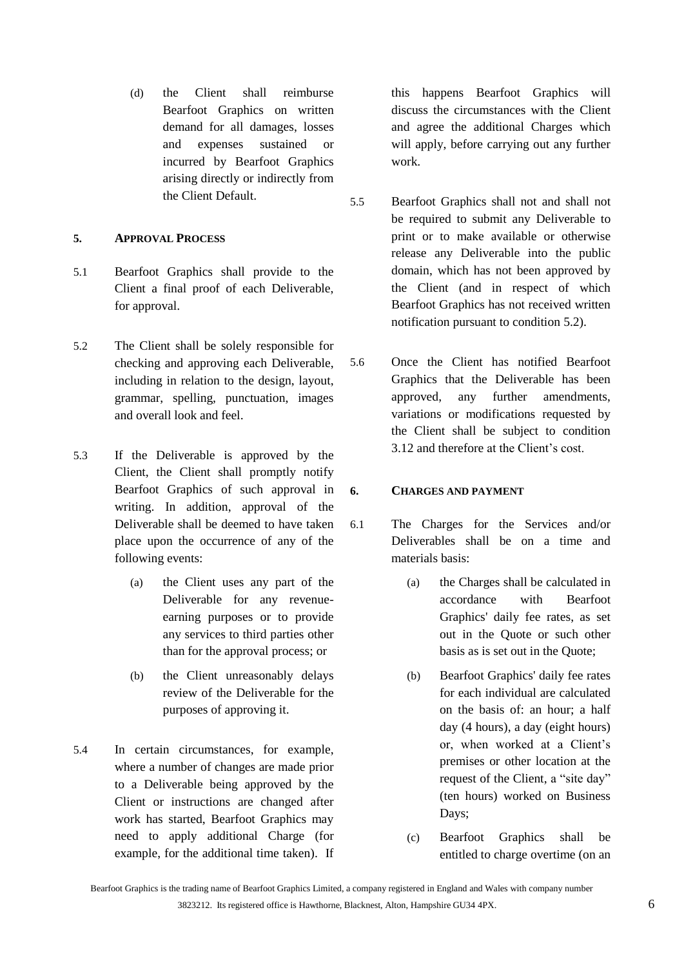(d) the Client shall reimburse Bearfoot Graphics on written demand for all damages, losses and expenses sustained or incurred by Bearfoot Graphics arising directly or indirectly from the Client Default.

# **5. APPROVAL PROCESS**

- 5.1 Bearfoot Graphics shall provide to the Client a final proof of each Deliverable, for approval.
- <span id="page-5-1"></span>5.2 The Client shall be solely responsible for checking and approving each Deliverable, including in relation to the design, layout, grammar, spelling, punctuation, images and overall look and feel.
- 5.3 If the Deliverable is approved by the Client, the Client shall promptly notify Bearfoot Graphics of such approval in writing. In addition, approval of the Deliverable shall be deemed to have taken place upon the occurrence of any of the following events:
	- (a) the Client uses any part of the Deliverable for any revenueearning purposes or to provide any services to third parties other than for the approval process; or
	- (b) the Client unreasonably delays review of the Deliverable for the purposes of approving it.
- 5.4 In certain circumstances, for example, where a number of changes are made prior to a Deliverable being approved by the Client or instructions are changed after work has started, Bearfoot Graphics may need to apply additional Charge (for example, for the additional time taken). If

this happens Bearfoot Graphics will discuss the circumstances with the Client and agree the additional Charges which will apply, before carrying out any further work.

- 5.5 Bearfoot Graphics shall not and shall not be required to submit any Deliverable to print or to make available or otherwise release any Deliverable into the public domain, which has not been approved by the Client (and in respect of which Bearfoot Graphics has not received written notification pursuant to condition [5.2\)](#page-5-1).
- 5.6 Once the Client has notified Bearfoot Graphics that the Deliverable has been approved, any further amendments, variations or modifications requested by the Client shall be subject to condition [3.12](#page-3-1) and therefore at the Client's cost.

#### <span id="page-5-0"></span>**6. CHARGES AND PAYMENT**

- <span id="page-5-2"></span>6.1 The Charges for the Services and/or Deliverables shall be on a time and materials basis:
	- (a) the Charges shall be calculated in accordance with Bearfoot Graphics' daily fee rates, as set out in the Quote or such other basis as is set out in the Quote;
	- (b) Bearfoot Graphics' daily fee rates for each individual are calculated on the basis of: an hour; a half day (4 hours), a day (eight hours) or, when worked at a Client's premises or other location at the request of the Client, a "site day" (ten hours) worked on Business Days;
	- (c) Bearfoot Graphics shall be entitled to charge overtime (on an

Bearfoot Graphics is the trading name of Bearfoot Graphics Limited, a company registered in England and Wales with company number 3823212. Its registered office is Hawthorne, Blacknest, Alton, Hampshire GU34 4PX. 6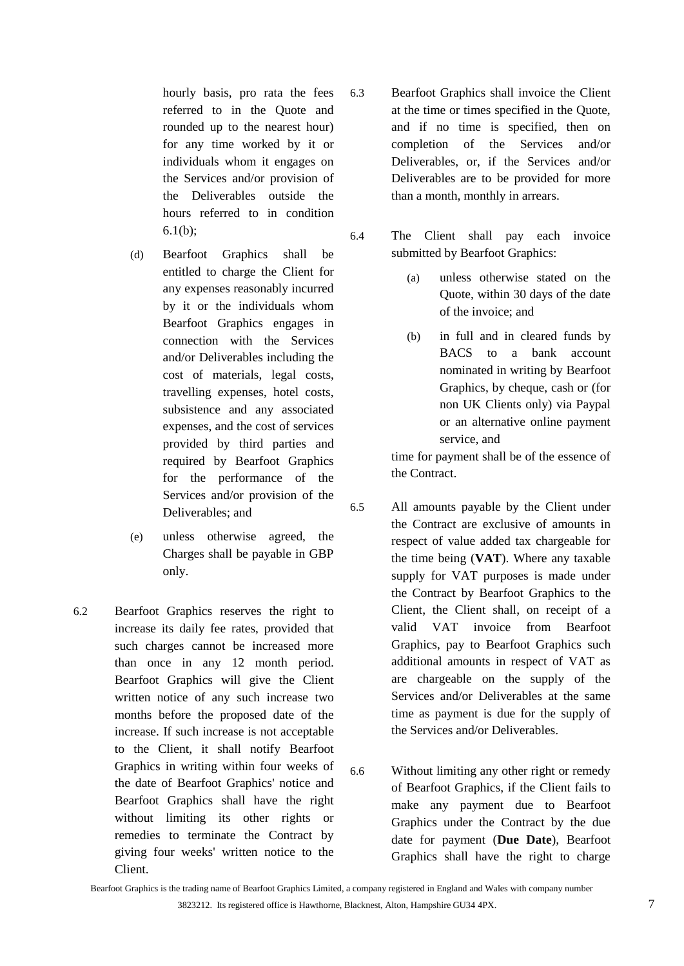hourly basis, pro rata the fees referred to in the Quote and rounded up to the nearest hour) for any time worked by it or individuals whom it engages on the Services and/or provision of the Deliverables outside the hours referred to in condition  $6.1(b);$ 

- (d) Bearfoot Graphics shall be entitled to charge the Client for any expenses reasonably incurred by it or the individuals whom Bearfoot Graphics engages in connection with the Services and/or Deliverables including the cost of materials, legal costs, travelling expenses, hotel costs, subsistence and any associated expenses, and the cost of services provided by third parties and required by Bearfoot Graphics for the performance of the Services and/or provision of the Deliverables; and
- (e) unless otherwise agreed, the Charges shall be payable in GBP only.
- 6.2 Bearfoot Graphics reserves the right to increase its daily fee rates, provided that such charges cannot be increased more than once in any 12 month period. Bearfoot Graphics will give the Client written notice of any such increase two months before the proposed date of the increase. If such increase is not acceptable to the Client, it shall notify Bearfoot Graphics in writing within four weeks of the date of Bearfoot Graphics' notice and Bearfoot Graphics shall have the right without limiting its other rights or remedies to terminate the Contract by giving four weeks' written notice to the Client.
- 6.3 Bearfoot Graphics shall invoice the Client at the time or times specified in the Quote, and if no time is specified, then on completion of the Services and/or Deliverables, or, if the Services and/or Deliverables are to be provided for more than a month, monthly in arrears.
- 6.4 The Client shall pay each invoice submitted by Bearfoot Graphics:
	- (a) unless otherwise stated on the Quote, within 30 days of the date of the invoice; and
	- (b) in full and in cleared funds by BACS to a bank account nominated in writing by Bearfoot Graphics, by cheque, cash or (for non UK Clients only) via Paypal or an alternative online payment service, and

time for payment shall be of the essence of the Contract.

- 6.5 All amounts payable by the Client under the Contract are exclusive of amounts in respect of value added tax chargeable for the time being (**VAT**). Where any taxable supply for VAT purposes is made under the Contract by Bearfoot Graphics to the Client, the Client shall, on receipt of a valid VAT invoice from Bearfoot Graphics, pay to Bearfoot Graphics such additional amounts in respect of VAT as are chargeable on the supply of the Services and/or Deliverables at the same time as payment is due for the supply of the Services and/or Deliverables.
- <span id="page-6-0"></span>6.6 Without limiting any other right or remedy of Bearfoot Graphics, if the Client fails to make any payment due to Bearfoot Graphics under the Contract by the due date for payment (**Due Date**), Bearfoot Graphics shall have the right to charge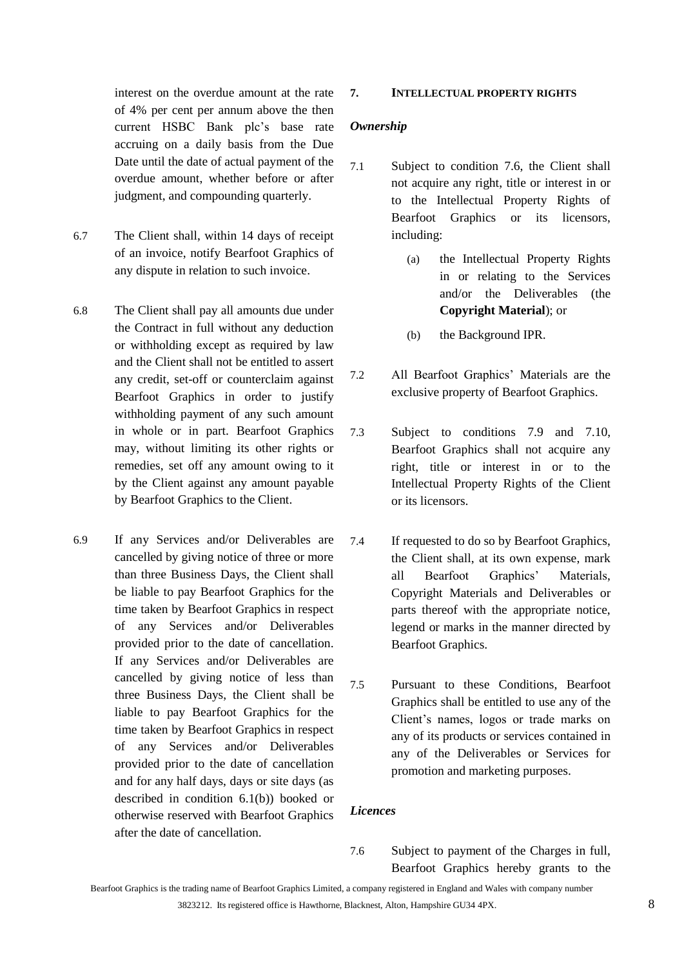interest on the overdue amount at the rate of 4% per cent per annum above the then current HSBC Bank plc's base rate accruing on a daily basis from the Due Date until the date of actual payment of the overdue amount, whether before or after judgment, and compounding quarterly.

- 6.7 The Client shall, within 14 days of receipt of an invoice, notify Bearfoot Graphics of any dispute in relation to such invoice.
- 6.8 The Client shall pay all amounts due under the Contract in full without any deduction or withholding except as required by law and the Client shall not be entitled to assert any credit, set-off or counterclaim against Bearfoot Graphics in order to justify withholding payment of any such amount in whole or in part. Bearfoot Graphics may, without limiting its other rights or remedies, set off any amount owing to it by the Client against any amount payable by Bearfoot Graphics to the Client.
- 6.9 If any Services and/or Deliverables are cancelled by giving notice of three or more than three Business Days, the Client shall be liable to pay Bearfoot Graphics for the time taken by Bearfoot Graphics in respect of any Services and/or Deliverables provided prior to the date of cancellation. If any Services and/or Deliverables are cancelled by giving notice of less than three Business Days, the Client shall be liable to pay Bearfoot Graphics for the time taken by Bearfoot Graphics in respect of any Services and/or Deliverables provided prior to the date of cancellation and for any half days, days or site days (as described in condition [6.1\(b\)\)](#page-5-2) booked or otherwise reserved with Bearfoot Graphics after the date of cancellation.

#### **7. INTELLECTUAL PROPERTY RIGHTS**

#### *Ownership*

- <span id="page-7-0"></span>7.1 Subject to condition [7.6,](#page-7-1) the Client shall not acquire any right, title or interest in or to the Intellectual Property Rights of Bearfoot Graphics or its licensors, including:
	- (a) the Intellectual Property Rights in or relating to the Services and/or the Deliverables (the **Copyright Material**); or
	- (b) the Background IPR.
- 7.2 All Bearfoot Graphics' Materials are the exclusive property of Bearfoot Graphics.
- 7.3 Subject to conditions [7.9](#page-8-0) and [7.10,](#page-8-1) Bearfoot Graphics shall not acquire any right, title or interest in or to the Intellectual Property Rights of the Client or its licensors.
- 7.4 If requested to do so by Bearfoot Graphics, the Client shall, at its own expense, mark all Bearfoot Graphics' Materials, Copyright Materials and Deliverables or parts thereof with the appropriate notice, legend or marks in the manner directed by Bearfoot Graphics.
- 7.5 Pursuant to these Conditions, Bearfoot Graphics shall be entitled to use any of the Client's names, logos or trade marks on any of its products or services contained in any of the Deliverables or Services for promotion and marketing purposes.

#### <span id="page-7-1"></span>*Licences*

7.6 Subject to payment of the Charges in full, Bearfoot Graphics hereby grants to the

Bearfoot Graphics is the trading name of Bearfoot Graphics Limited, a company registered in England and Wales with company number 3823212. Its registered office is Hawthorne, Blacknest, Alton, Hampshire GU34 4PX. 8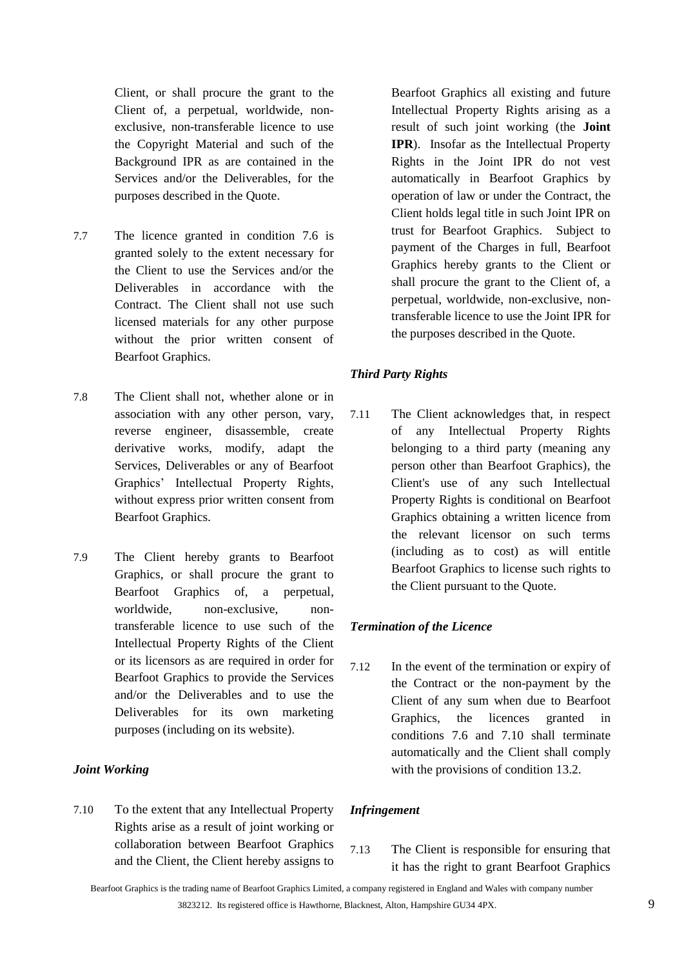Client, or shall procure the grant to the Client of, a perpetual, worldwide, nonexclusive, non-transferable licence to use the Copyright Material and such of the Background IPR as are contained in the Services and/or the Deliverables, for the purposes described in the Quote.

- 7.7 The licence granted in condition [7.6](#page-7-1) is granted solely to the extent necessary for the Client to use the Services and/or the Deliverables in accordance with the Contract. The Client shall not use such licensed materials for any other purpose without the prior written consent of Bearfoot Graphics.
- 7.8 The Client shall not, whether alone or in association with any other person, vary, reverse engineer, disassemble, create derivative works, modify, adapt the Services, Deliverables or any of Bearfoot Graphics' Intellectual Property Rights, without express prior written consent from Bearfoot Graphics.
- <span id="page-8-0"></span>7.9 The Client hereby grants to Bearfoot Graphics, or shall procure the grant to Bearfoot Graphics of, a perpetual, worldwide, non-exclusive, nontransferable licence to use such of the Intellectual Property Rights of the Client or its licensors as are required in order for Bearfoot Graphics to provide the Services and/or the Deliverables and to use the Deliverables for its own marketing purposes (including on its website).

#### *Joint Working*

<span id="page-8-1"></span>7.10 To the extent that any Intellectual Property Rights arise as a result of joint working or collaboration between Bearfoot Graphics and the Client, the Client hereby assigns to

Bearfoot Graphics all existing and future Intellectual Property Rights arising as a result of such joint working (the **Joint IPR**). Insofar as the Intellectual Property Rights in the Joint IPR do not vest automatically in Bearfoot Graphics by operation of law or under the Contract, the Client holds legal title in such Joint IPR on trust for Bearfoot Graphics. Subject to payment of the Charges in full, Bearfoot Graphics hereby grants to the Client or shall procure the grant to the Client of, a perpetual, worldwide, non-exclusive, nontransferable licence to use the Joint IPR for the purposes described in the Quote.

# *Third Party Rights*

7.11 The Client acknowledges that, in respect of any Intellectual Property Rights belonging to a third party (meaning any person other than Bearfoot Graphics), the Client's use of any such Intellectual Property Rights is conditional on Bearfoot Graphics obtaining a written licence from the relevant licensor on such terms (including as to cost) as will entitle Bearfoot Graphics to license such rights to the Client pursuant to the Quote.

#### *Termination of the Licence*

7.12 In the event of the termination or expiry of the Contract or the non-payment by the Client of any sum when due to Bearfoot Graphics, the licences granted in conditions [7.6](#page-7-1) and [7.10](#page-8-1) shall terminate automatically and the Client shall comply with the provisions of condition [13.2.](#page-12-0)

# *Infringement*

7.13 The Client is responsible for ensuring that it has the right to grant Bearfoot Graphics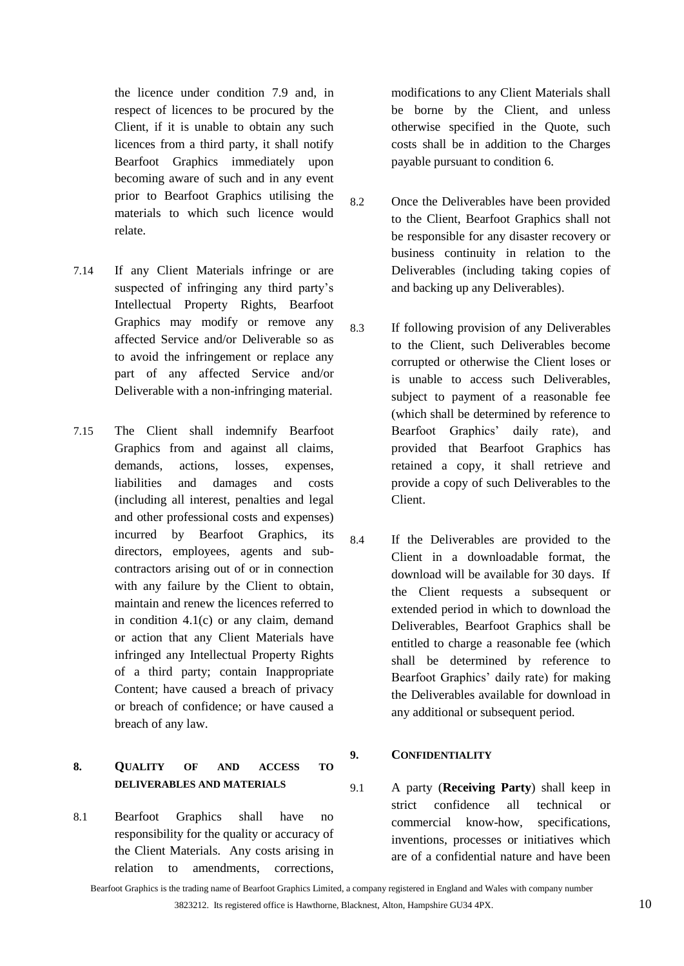the licence under condition [7.9](#page-8-0) and, in respect of licences to be procured by the Client, if it is unable to obtain any such licences from a third party, it shall notify Bearfoot Graphics immediately upon becoming aware of such and in any event prior to Bearfoot Graphics utilising the materials to which such licence would relate.

- 7.14 If any Client Materials infringe or are suspected of infringing any third party's Intellectual Property Rights, Bearfoot Graphics may modify or remove any affected Service and/or Deliverable so as to avoid the infringement or replace any part of any affected Service and/or Deliverable with a non-infringing material.
- 7.15 The Client shall indemnify Bearfoot Graphics from and against all claims, demands, actions, losses, expenses, liabilities and damages and costs (including all interest, penalties and legal and other professional costs and expenses) incurred by Bearfoot Graphics, its directors, employees, agents and subcontractors arising out of or in connection with any failure by the Client to obtain, maintain and renew the licences referred to in condition [4.1\(c\)](#page-4-1) or any claim, demand or action that any Client Materials have infringed any Intellectual Property Rights of a third party; contain Inappropriate Content; have caused a breach of privacy or breach of confidence; or have caused a breach of any law.

# **8. QUALITY OF AND ACCESS TO DELIVERABLES AND MATERIALS**

8.1 Bearfoot Graphics shall have no responsibility for the quality or accuracy of the Client Materials. Any costs arising in relation to amendments, corrections,

modifications to any Client Materials shall be borne by the Client, and unless otherwise specified in the Quote, such costs shall be in addition to the Charges payable pursuant to condition [6.](#page-5-0)

- 8.2 Once the Deliverables have been provided to the Client, Bearfoot Graphics shall not be responsible for any disaster recovery or business continuity in relation to the Deliverables (including taking copies of and backing up any Deliverables).
- 8.3 If following provision of any Deliverables to the Client, such Deliverables become corrupted or otherwise the Client loses or is unable to access such Deliverables, subject to payment of a reasonable fee (which shall be determined by reference to Bearfoot Graphics' daily rate), and provided that Bearfoot Graphics has retained a copy, it shall retrieve and provide a copy of such Deliverables to the Client.
- 8.4 If the Deliverables are provided to the Client in a downloadable format, the download will be available for 30 days. If the Client requests a subsequent or extended period in which to download the Deliverables, Bearfoot Graphics shall be entitled to charge a reasonable fee (which shall be determined by reference to Bearfoot Graphics' daily rate) for making the Deliverables available for download in any additional or subsequent period.

#### <span id="page-9-0"></span>**9. CONFIDENTIALITY**

9.1 A party (**Receiving Party**) shall keep in strict confidence all technical or commercial know-how, specifications, inventions, processes or initiatives which are of a confidential nature and have been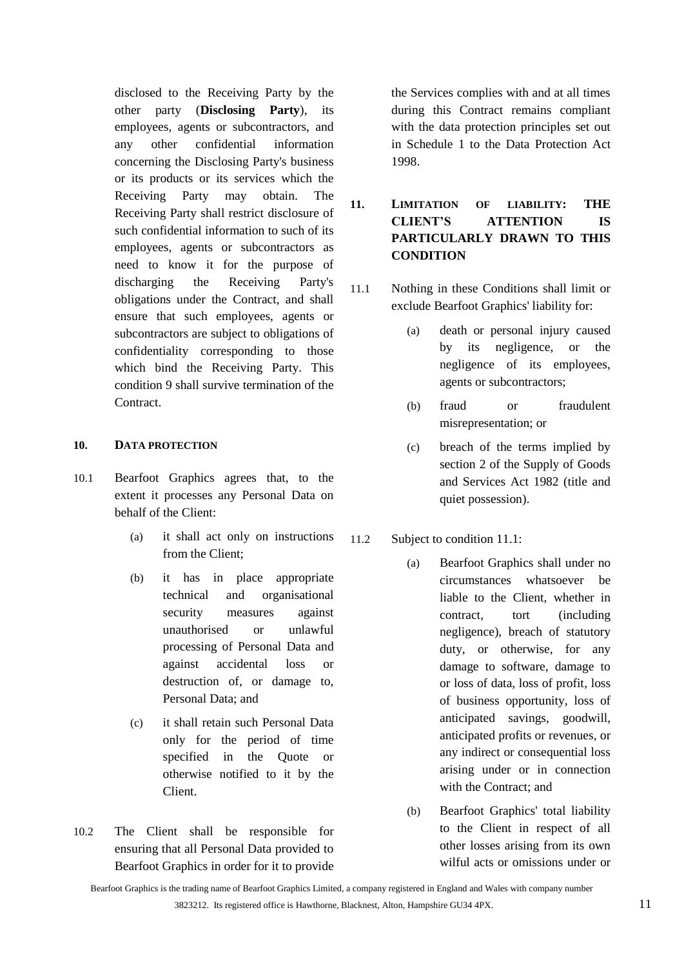disclosed to the Receiving Party by the other party (**Disclosing Party**), its employees, agents or subcontractors, and any other confidential information concerning the Disclosing Party's business or its products or its services which the Receiving Party may obtain. The Receiving Party shall restrict disclosure of such confidential information to such of its employees, agents or subcontractors as need to know it for the purpose of discharging the Receiving Party's obligations under the Contract, and shall ensure that such employees, agents or subcontractors are subject to obligations of confidentiality corresponding to those which bind the Receiving Party. This condition [9](#page-9-0) shall survive termination of the Contract.

### **10. DATA PROTECTION**

- 10.1 Bearfoot Graphics agrees that, to the extent it processes any Personal Data on behalf of the Client:
	- (a) it shall act only on instructions from the Client;
	- (b) it has in place appropriate technical and organisational security measures against unauthorised or unlawful processing of Personal Data and against accidental loss or destruction of, or damage to, Personal Data; and
	- (c) it shall retain such Personal Data only for the period of time specified in the Quote or otherwise notified to it by the Client.
- 10.2 The Client shall be responsible for ensuring that all Personal Data provided to Bearfoot Graphics in order for it to provide

the Services complies with and at all times during this Contract remains compliant with the data protection principles set out in Schedule 1 to the Data Protection Act 1998.

# <span id="page-10-0"></span>**11. LIMITATION OF LIABILITY: THE CLIENT'S ATTENTION IS PARTICULARLY DRAWN TO THIS CONDITION**

- <span id="page-10-1"></span>11.1 Nothing in these Conditions shall limit or exclude Bearfoot Graphics' liability for:
	- (a) death or personal injury caused by its negligence, or the negligence of its employees, agents or subcontractors;
	- (b) fraud or fraudulent misrepresentation; or
	- (c) breach of the terms implied by section 2 of the Supply of Goods and Services Act 1982 (title and quiet possession).
- 11.2 Subject to condition [11.1:](#page-10-1)
	- (a) Bearfoot Graphics shall under no circumstances whatsoever be liable to the Client, whether in contract, tort (including negligence), breach of statutory duty, or otherwise, for any damage to software, damage to or loss of data, loss of profit, loss of business opportunity, loss of anticipated savings, goodwill, anticipated profits or revenues, or any indirect or consequential loss arising under or in connection with the Contract; and
	- (b) Bearfoot Graphics' total liability to the Client in respect of all other losses arising from its own wilful acts or omissions under or

Bearfoot Graphics is the trading name of Bearfoot Graphics Limited, a company registered in England and Wales with company number 3823212. Its registered office is Hawthorne, Blacknest, Alton, Hampshire GU34 4PX. 11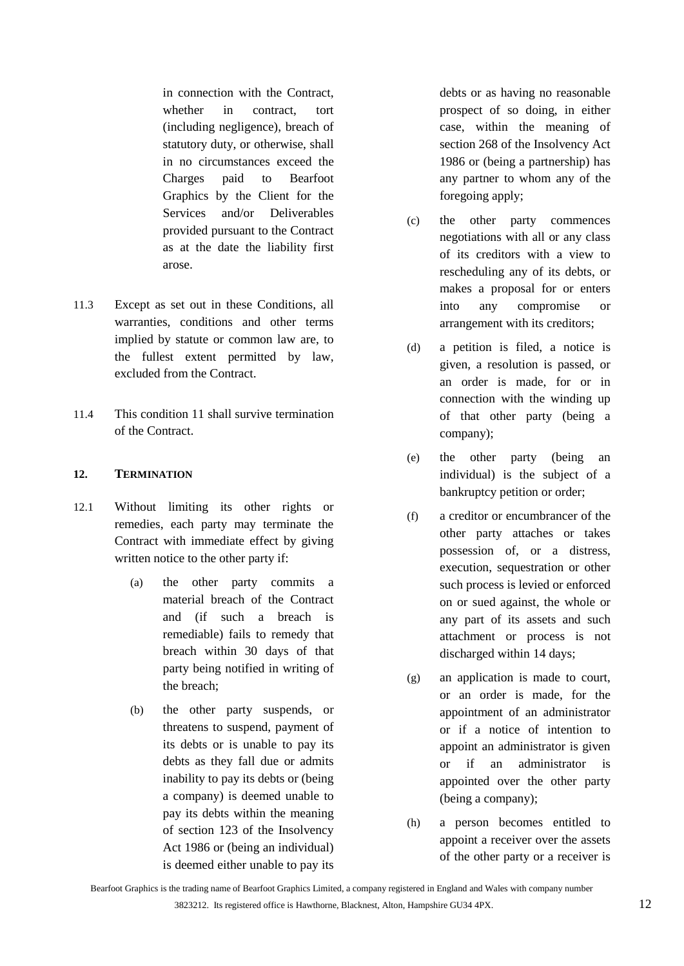in connection with the Contract, whether in contract, tort (including negligence), breach of statutory duty, or otherwise, shall in no circumstances exceed the Charges paid to Bearfoot Graphics by the Client for the Services and/or Deliverables provided pursuant to the Contract as at the date the liability first arose.

- 11.3 Except as set out in these Conditions, all warranties, conditions and other terms implied by statute or common law are, to the fullest extent permitted by law, excluded from the Contract.
- 11.4 This condition [11](#page-10-0) shall survive termination of the Contract.

# **12. TERMINATION**

- <span id="page-11-0"></span>12.1 Without limiting its other rights or remedies, each party may terminate the Contract with immediate effect by giving written notice to the other party if:
	- (a) the other party commits a material breach of the Contract and (if such a breach is remediable) fails to remedy that breach within 30 days of that party being notified in writing of the breach;
	- (b) the other party suspends, or threatens to suspend, payment of its debts or is unable to pay its debts as they fall due or admits inability to pay its debts or (being a company) is deemed unable to pay its debts within the meaning of section 123 of the Insolvency Act 1986 or (being an individual) is deemed either unable to pay its

debts or as having no reasonable prospect of so doing, in either case, within the meaning of section 268 of the Insolvency Act 1986 or (being a partnership) has any partner to whom any of the foregoing apply;

- (c) the other party commences negotiations with all or any class of its creditors with a view to rescheduling any of its debts, or makes a proposal for or enters into any compromise or arrangement with its creditors;
- (d) a petition is filed, a notice is given, a resolution is passed, or an order is made, for or in connection with the winding up of that other party (being a company);
- (e) the other party (being an individual) is the subject of a bankruptcy petition or order;
- (f) a creditor or encumbrancer of the other party attaches or takes possession of, or a distress, execution, sequestration or other such process is levied or enforced on or sued against, the whole or any part of its assets and such attachment or process is not discharged within 14 days;
- (g) an application is made to court, or an order is made, for the appointment of an administrator or if a notice of intention to appoint an administrator is given or if an administrator is appointed over the other party (being a company);
- (h) a person becomes entitled to appoint a receiver over the assets of the other party or a receiver is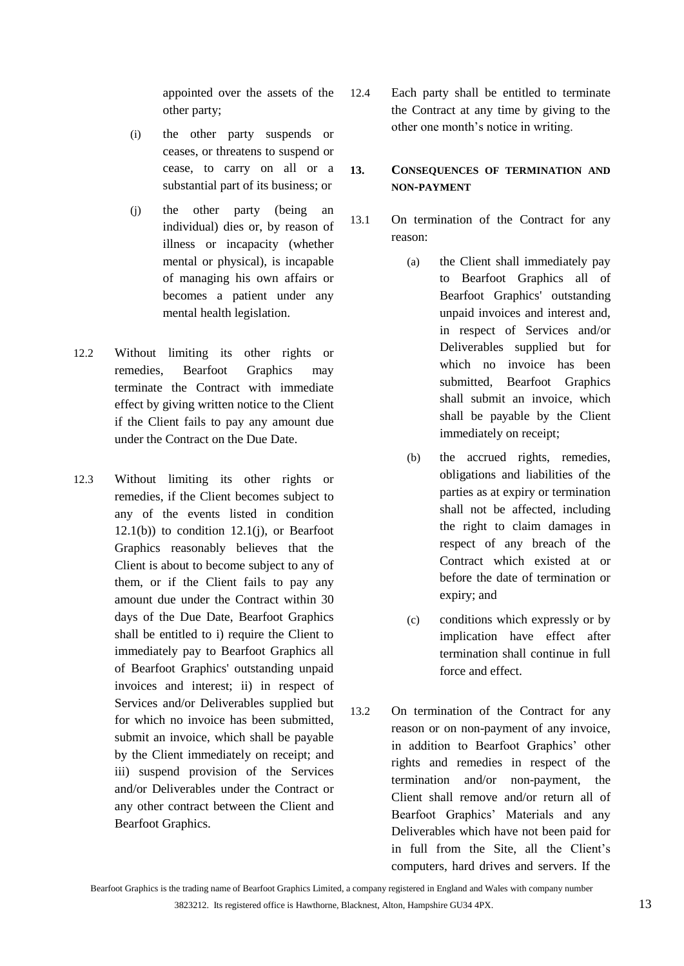appointed over the assets of the other party;

- (i) the other party suspends or ceases, or threatens to suspend or cease, to carry on all or a substantial part of its business; or
- <span id="page-12-1"></span>(j) the other party (being an individual) dies or, by reason of illness or incapacity (whether mental or physical), is incapable of managing his own affairs or becomes a patient under any mental health legislation.
- 12.2 Without limiting its other rights or remedies, Bearfoot Graphics may terminate the Contract with immediate effect by giving written notice to the Client if the Client fails to pay any amount due under the Contract on the Due Date.
- 12.3 Without limiting its other rights or remedies, if the Client becomes subject to any of the events listed in condition  $12.1(b)$ ) to condition  $12.1(i)$ , or Bearfoot Graphics reasonably believes that the Client is about to become subject to any of them, or if the Client fails to pay any amount due under the Contract within 30 days of the Due Date, Bearfoot Graphics shall be entitled to i) require the Client to immediately pay to Bearfoot Graphics all of Bearfoot Graphics' outstanding unpaid invoices and interest; ii) in respect of Services and/or Deliverables supplied but for which no invoice has been submitted, submit an invoice, which shall be payable by the Client immediately on receipt; and iii) suspend provision of the Services and/or Deliverables under the Contract or any other contract between the Client and Bearfoot Graphics.

12.4 Each party shall be entitled to terminate the Contract at any time by giving to the other one month's notice in writing.

# **13. CONSEQUENCES OF TERMINATION AND NON-PAYMENT**

- 13.1 On termination of the Contract for any reason:
	- (a) the Client shall immediately pay to Bearfoot Graphics all of Bearfoot Graphics' outstanding unpaid invoices and interest and, in respect of Services and/or Deliverables supplied but for which no invoice has been submitted, Bearfoot Graphics shall submit an invoice, which shall be payable by the Client immediately on receipt;
	- (b) the accrued rights, remedies, obligations and liabilities of the parties as at expiry or termination shall not be affected, including the right to claim damages in respect of any breach of the Contract which existed at or before the date of termination or expiry; and
	- (c) conditions which expressly or by implication have effect after termination shall continue in full force and effect.
- <span id="page-12-0"></span>13.2 On termination of the Contract for any reason or on non-payment of any invoice, in addition to Bearfoot Graphics' other rights and remedies in respect of the termination and/or non-payment, the Client shall remove and/or return all of Bearfoot Graphics' Materials and any Deliverables which have not been paid for in full from the Site, all the Client's computers, hard drives and servers. If the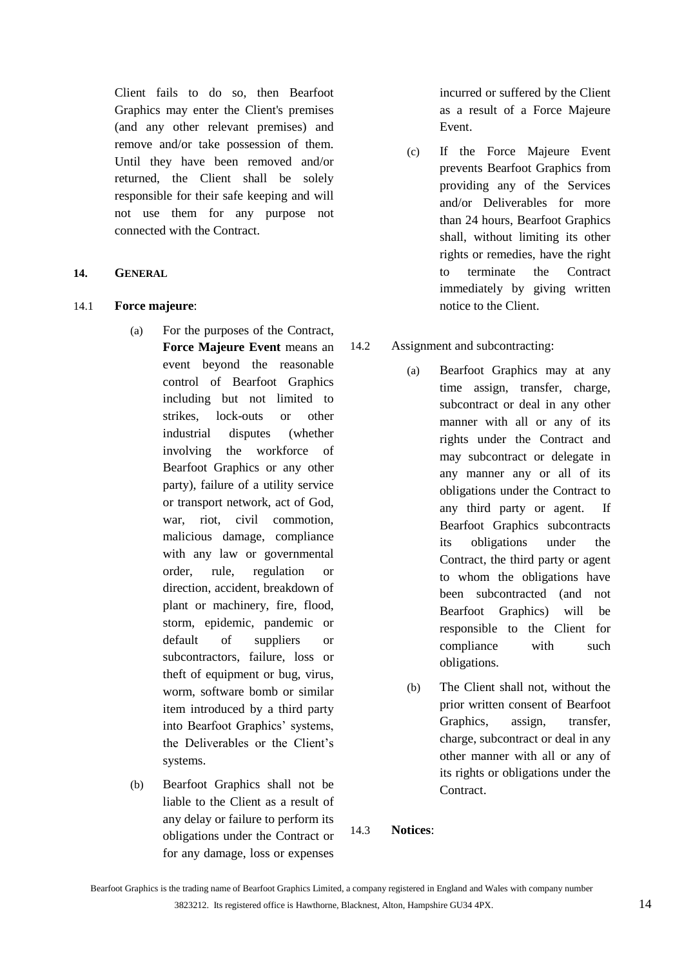Client fails to do so, then Bearfoot Graphics may enter the Client's premises (and any other relevant premises) and remove and/or take possession of them. Until they have been removed and/or returned, the Client shall be solely responsible for their safe keeping and will not use them for any purpose not connected with the Contract.

#### **14. GENERAL**

#### 14.1 **Force majeure**:

- (a) For the purposes of the Contract, **Force Majeure Event** means an event beyond the reasonable control of Bearfoot Graphics including but not limited to strikes, lock-outs or other industrial disputes (whether involving the workforce of Bearfoot Graphics or any other party), failure of a utility service or transport network, act of God, war, riot, civil commotion, malicious damage, compliance with any law or governmental order, rule, regulation or direction, accident, breakdown of plant or machinery, fire, flood, storm, epidemic, pandemic or default of suppliers or subcontractors, failure, loss or theft of equipment or bug, virus, worm, software bomb or similar item introduced by a third party into Bearfoot Graphics' systems, the Deliverables or the Client's systems.
- (b) Bearfoot Graphics shall not be liable to the Client as a result of any delay or failure to perform its obligations under the Contract or for any damage, loss or expenses

incurred or suffered by the Client as a result of a Force Majeure Event.

(c) If the Force Majeure Event prevents Bearfoot Graphics from providing any of the Services and/or Deliverables for more than 24 hours, Bearfoot Graphics shall, without limiting its other rights or remedies, have the right to terminate the Contract immediately by giving written notice to the Client.

# 14.2 Assignment and subcontracting:

- (a) Bearfoot Graphics may at any time assign, transfer, charge, subcontract or deal in any other manner with all or any of its rights under the Contract and may subcontract or delegate in any manner any or all of its obligations under the Contract to any third party or agent. If Bearfoot Graphics subcontracts its obligations under the Contract, the third party or agent to whom the obligations have been subcontracted (and not Bearfoot Graphics) will be responsible to the Client for compliance with such obligations.
- (b) The Client shall not, without the prior written consent of Bearfoot Graphics, assign, transfer, charge, subcontract or deal in any other manner with all or any of its rights or obligations under the Contract.

#### <span id="page-13-0"></span>14.3 **Notices**: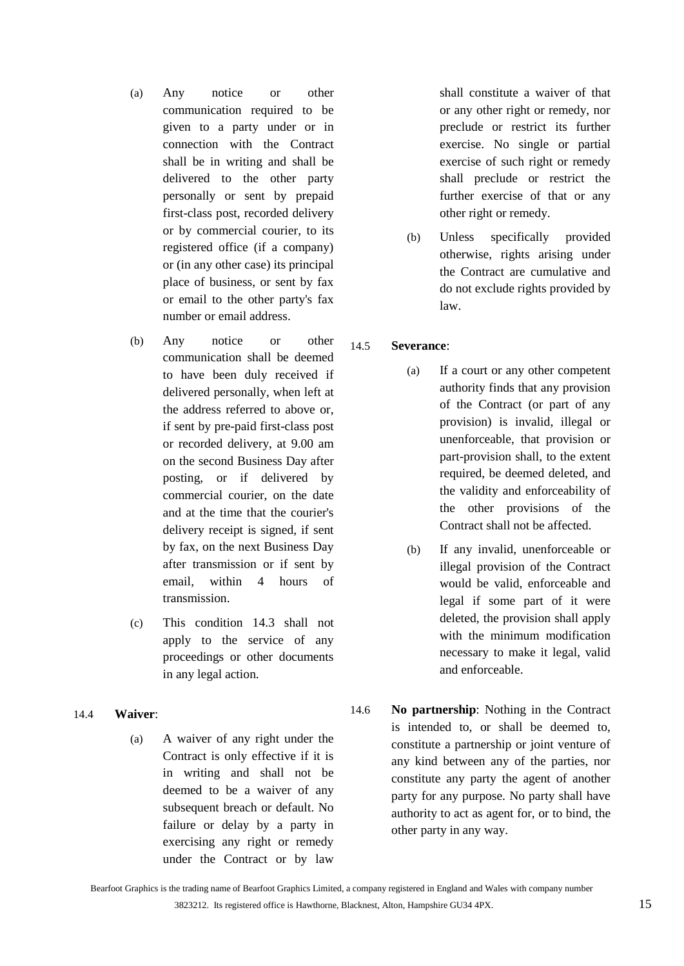- (a) Any notice or other communication required to be given to a party under or in connection with the Contract shall be in writing and shall be delivered to the other party personally or sent by prepaid first-class post, recorded delivery or by commercial courier, to its registered office (if a company) or (in any other case) its principal place of business, or sent by fax or email to the other party's fax number or email address.
- (b) Any notice or other communication shall be deemed to have been duly received if delivered personally, when left at the address referred to above or, if sent by pre-paid first-class post or recorded delivery, at 9.00 am on the second Business Day after posting, or if delivered by commercial courier, on the date and at the time that the courier's delivery receipt is signed, if sent by fax, on the next Business Day after transmission or if sent by email, within 4 hours of transmission.
- (c) This condition [14.3](#page-13-0) shall not apply to the service of any proceedings or other documents in any legal action.
- 14.4 **Waiver**:
	- (a) A waiver of any right under the Contract is only effective if it is in writing and shall not be deemed to be a waiver of any subsequent breach or default. No failure or delay by a party in exercising any right or remedy under the Contract or by law

shall constitute a waiver of that or any other right or remedy, nor preclude or restrict its further exercise. No single or partial exercise of such right or remedy shall preclude or restrict the further exercise of that or any other right or remedy.

(b) Unless specifically provided otherwise, rights arising under the Contract are cumulative and do not exclude rights provided by law.

# 14.5 **Severance**:

- (a) If a court or any other competent authority finds that any provision of the Contract (or part of any provision) is invalid, illegal or unenforceable, that provision or part-provision shall, to the extent required, be deemed deleted, and the validity and enforceability of the other provisions of the Contract shall not be affected.
- (b) If any invalid, unenforceable or illegal provision of the Contract would be valid, enforceable and legal if some part of it were deleted, the provision shall apply with the minimum modification necessary to make it legal, valid and enforceable.
- 14.6 **No partnership**: Nothing in the Contract is intended to, or shall be deemed to, constitute a partnership or joint venture of any kind between any of the parties, nor constitute any party the agent of another party for any purpose. No party shall have authority to act as agent for, or to bind, the other party in any way.